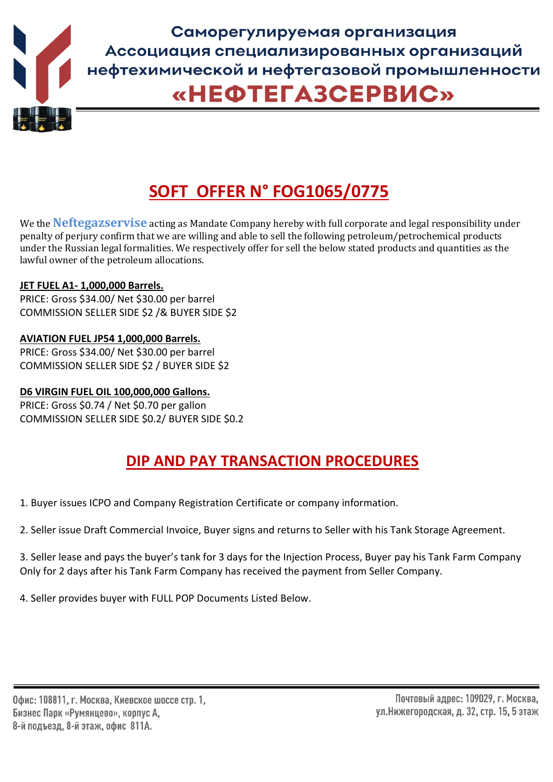

# **SOFT OFFER N° FOG1065/0775**

We the **Neftegazservise** acting as Mandate Company hereby with full corporate and legal responsibility under penalty of perjury confirm that we are willing and able to sell the following petroleum/petrochemical products under the Russian legal formalities. We respectively offer for sell the below stated products and quantities as the lawful owner of the petroleum allocations.

#### **JET FUEL A1- 1,000,000 Barrels.**

PRICE: Gross \$34.00/ Net \$30.00 per barrel COMMISSION SELLER SIDE \$2 /& BUYER SIDE \$2

## **AVIATION FUEL JP54 1,000,000 Barrels.**

PRICE: Gross \$34.00/ Net \$30.00 per barrel COMMISSION SELLER SIDE \$2 / BUYER SIDE \$2

# **D6 VIRGIN FUEL OIL 100,000,000 Gallons.**

PRICE: Gross \$0.74 / Net \$0.70 per gallon COMMISSION SELLER SIDE \$0.2/ BUYER SIDE \$0.2

# **DIP AND PAY TRANSACTION PROCEDURES**

1. Buyer issues ICPO and Company Registration Certificate or company information.

2. Seller issue Draft Commercial Invoice, Buyer signs and returns to Seller with his Tank Storage Agreement.

3. Seller lease and pays the buyer's tank for 3 days for the Injection Process, Buyer pay his Tank Farm Company Only for 2 days after his Tank Farm Company has received the payment from Seller Company.

4. Seller provides buyer with FULL POP Documents Listed Below.